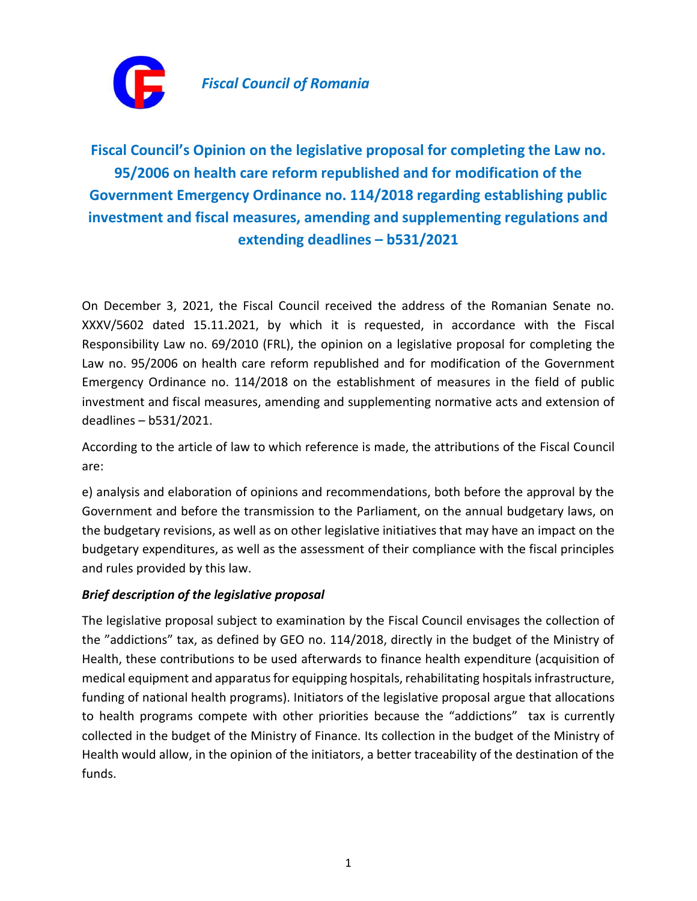

## **Fiscal Council's Opinion on the legislative proposal for completing the Law no. 95/2006 on health care reform republished and for modification of the Government Emergency Ordinance no. 114/2018 regarding establishing public investment and fiscal measures, amending and supplementing regulations and extending deadlines – b531/2021**

On December 3, 2021, the Fiscal Council received the address of the Romanian Senate no. XXXV/5602 dated 15.11.2021, by which it is requested, in accordance with the Fiscal Responsibility Law no. 69/2010 (FRL), the opinion on a legislative proposal for completing the Law no. 95/2006 on health care reform republished and for modification of the Government Emergency Ordinance no. 114/2018 on the establishment of measures in the field of public investment and fiscal measures, amending and supplementing normative acts and extension of deadlines – b531/2021.

According to the article of law to which reference is made, the attributions of the Fiscal Council are:

e) analysis and elaboration of opinions and recommendations, both before the approval by the Government and before the transmission to the Parliament, on the annual budgetary laws, on the budgetary revisions, as well as on other legislative initiatives that may have an impact on the budgetary expenditures, as well as the assessment of their compliance with the fiscal principles and rules provided by this law.

## *Brief description of the legislative proposal*

The legislative proposal subject to examination by the Fiscal Council envisages the collection of the "addictions" tax, as defined by GEO no. 114/2018, directly in the budget of the Ministry of Health, these contributions to be used afterwards to finance health expenditure (acquisition of medical equipment and apparatus for equipping hospitals, rehabilitating hospitals infrastructure, funding of national health programs). Initiators of the legislative proposal argue that allocations to health programs compete with other priorities because the "addictions" tax is currently collected in the budget of the Ministry of Finance. Its collection in the budget of the Ministry of Health would allow, in the opinion of the initiators, a better traceability of the destination of the funds.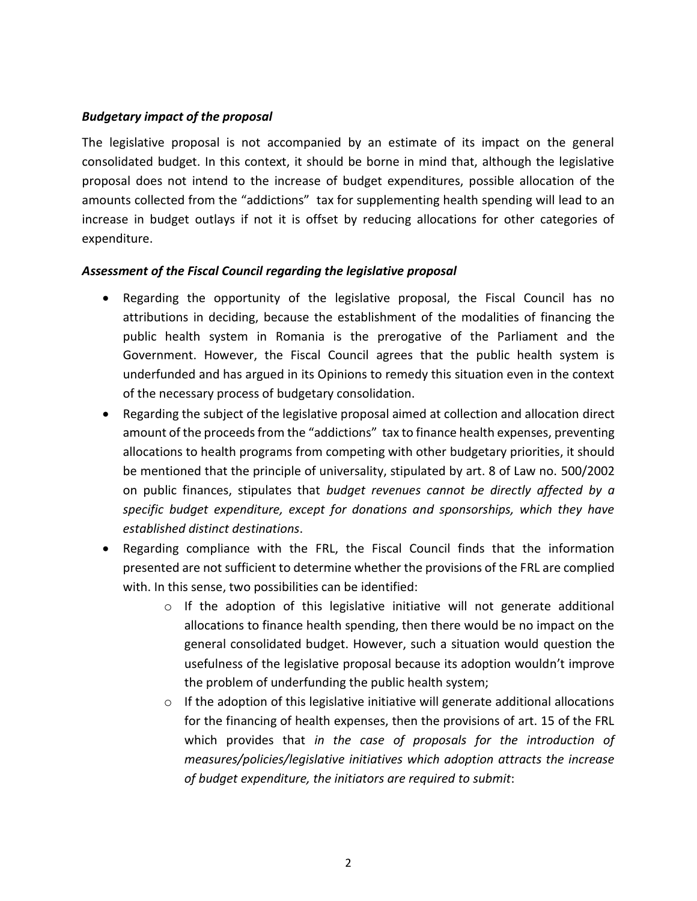## *Budgetary impact of the proposal*

The legislative proposal is not accompanied by an estimate of its impact on the general consolidated budget. In this context, it should be borne in mind that, although the legislative proposal does not intend to the increase of budget expenditures, possible allocation of the amounts collected from the "addictions" tax for supplementing health spending will lead to an increase in budget outlays if not it is offset by reducing allocations for other categories of expenditure.

## *Assessment of the Fiscal Council regarding the legislative proposal*

- Regarding the opportunity of the legislative proposal, the Fiscal Council has no attributions in deciding, because the establishment of the modalities of financing the public health system in Romania is the prerogative of the Parliament and the Government. However, the Fiscal Council agrees that the public health system is underfunded and has argued in its Opinions to remedy this situation even in the context of the necessary process of budgetary consolidation.
- Regarding the subject of the legislative proposal aimed at collection and allocation direct amount of the proceeds from the "addictions" tax to finance health expenses, preventing allocations to health programs from competing with other budgetary priorities, it should be mentioned that the principle of universality, stipulated by art. 8 of Law no. 500/2002 on public finances, stipulates that *budget revenues cannot be directly affected by a specific budget expenditure, except for donations and sponsorships, which they have established distinct destinations*.
- Regarding compliance with the FRL, the Fiscal Council finds that the information presented are not sufficient to determine whether the provisions of the FRL are complied with. In this sense, two possibilities can be identified:
	- $\circ$  If the adoption of this legislative initiative will not generate additional allocations to finance health spending, then there would be no impact on the general consolidated budget. However, such a situation would question the usefulness of the legislative proposal because its adoption wouldn't improve the problem of underfunding the public health system;
	- $\circ$  If the adoption of this legislative initiative will generate additional allocations for the financing of health expenses, then the provisions of art. 15 of the FRL which provides that *in the case of proposals for the introduction of measures/policies/legislative initiatives which adoption attracts the increase of budget expenditure, the initiators are required to submit*: